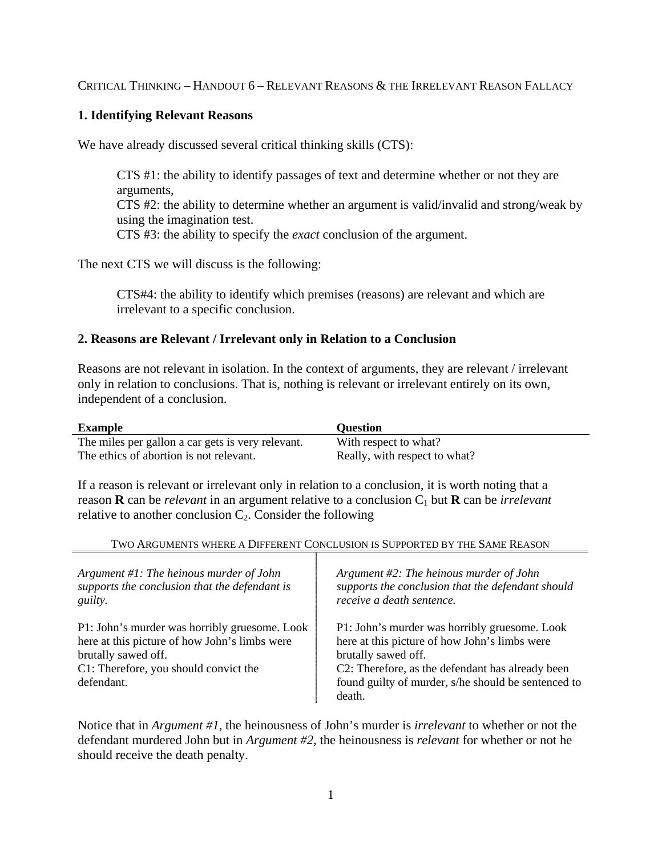## CRITICAL THINKING – HANDOUT 6 – RELEVANT REASONS & THE IRRELEVANT REASON FALLACY

# **1. Identifying Relevant Reasons**

We have already discussed several critical thinking skills (CTS):

CTS #1: the ability to identify passages of text and determine whether or not they are arguments, CTS #2: the ability to determine whether an argument is valid/invalid and strong/weak by using the imagination test. CTS #3: the ability to specify the *exact* conclusion of the argument.

The next CTS we will discuss is the following:

CTS#4: the ability to identify which premises (reasons) are relevant and which are irrelevant to a specific conclusion.

## **2. Reasons are Relevant / Irrelevant only in Relation to a Conclusion**

Reasons are not relevant in isolation. In the context of arguments, they are relevant / irrelevant only in relation to conclusions. That is, nothing is relevant or irrelevant entirely on its own, independent of a conclusion.

| <b>Example</b>                                    | <b>Ouestion</b>               |
|---------------------------------------------------|-------------------------------|
| The miles per gallon a car gets is very relevant. | With respect to what?         |
| The ethics of abortion is not relevant.           | Really, with respect to what? |

If a reason is relevant or irrelevant only in relation to a conclusion, it is worth noting that a reason  $\bf{R}$  can be *relevant* in an argument relative to a conclusion  $C_1$  but  $\bf{R}$  can be *irrelevant* relative to another conclusion  $C_2$ . Consider the following

### TWO ARGUMENTS WHERE A DIFFERENT CONCLUSION IS SUPPORTED BY THE SAME REASON

| Argument $#1$ : The heinous murder of John<br>supports the conclusion that the defendant is<br><i>guilty.</i> | Argument $#2$ : The heinous murder of John<br>supports the conclusion that the defendant should<br>receive a death sentence. |
|---------------------------------------------------------------------------------------------------------------|------------------------------------------------------------------------------------------------------------------------------|
| P1: John's murder was horribly gruesome. Look                                                                 | P1: John's murder was horribly gruesome. Look                                                                                |
| here at this picture of how John's limbs were                                                                 | here at this picture of how John's limbs were                                                                                |
| brutally sawed off.                                                                                           | brutally sawed off.                                                                                                          |
| C1: Therefore, you should convict the                                                                         | C2: Therefore, as the defendant has already been                                                                             |
| defendant.                                                                                                    | found guilty of murder, s/he should be sentenced to                                                                          |
|                                                                                                               | death.                                                                                                                       |

Notice that in *Argument #1*, the heinousness of John's murder is *irrelevant* to whether or not the defendant murdered John but in *Argument #2*, the heinousness is *relevant* for whether or not he should receive the death penalty.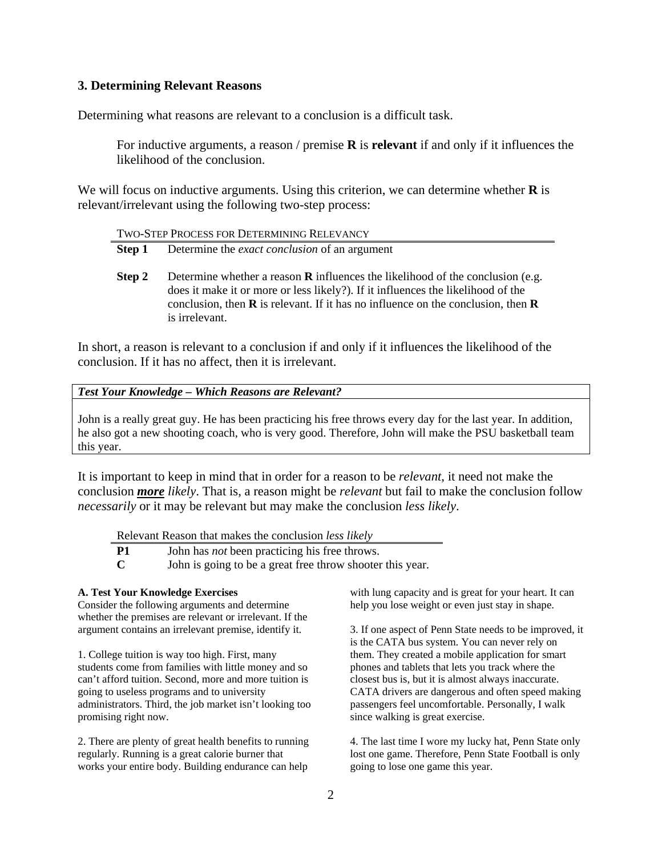### **3. Determining Relevant Reasons**

Determining what reasons are relevant to a conclusion is a difficult task.

For inductive arguments, a reason / premise **R** is **relevant** if and only if it influences the likelihood of the conclusion.

We will focus on inductive arguments. Using this criterion, we can determine whether **R** is relevant/irrelevant using the following two-step process:

| TWO-STEP PROCESS FOR DETERMINING RELEVANCY |                                                                                                                                                                                                                                                                                               |  |
|--------------------------------------------|-----------------------------------------------------------------------------------------------------------------------------------------------------------------------------------------------------------------------------------------------------------------------------------------------|--|
| Step 1                                     | Determine the <i>exact conclusion</i> of an argument                                                                                                                                                                                                                                          |  |
| Step 2                                     | Determine whether a reason <b>R</b> influences the likelihood of the conclusion (e.g.<br>does it make it or more or less likely?). If it influences the likelihood of the<br>conclusion, then $\bf{R}$ is relevant. If it has no influence on the conclusion, then $\bf{R}$<br>is irrelevant. |  |

In short, a reason is relevant to a conclusion if and only if it influences the likelihood of the conclusion. If it has no affect, then it is irrelevant.

### *Test Your Knowledge – Which Reasons are Relevant?*

John is a really great guy. He has been practicing his free throws every day for the last year. In addition, he also got a new shooting coach, who is very good. Therefore, John will make the PSU basketball team this year.

It is important to keep in mind that in order for a reason to be *relevant*, it need not make the conclusion *more likely*. That is, a reason might be *relevant* but fail to make the conclusion follow *necessarily* or it may be relevant but may make the conclusion *less likely*.

Relevant Reason that makes the conclusion *less likely*

**P1** John has *not* been practicing his free throws.

**C** John is going to be a great free throw shooter this year.

#### **A. Test Your Knowledge Exercises**

Consider the following arguments and determine whether the premises are relevant or irrelevant. If the argument contains an irrelevant premise, identify it.

1. College tuition is way too high. First, many students come from families with little money and so can't afford tuition. Second, more and more tuition is going to useless programs and to university administrators. Third, the job market isn't looking too promising right now.

2. There are plenty of great health benefits to running regularly. Running is a great calorie burner that works your entire body. Building endurance can help

with lung capacity and is great for your heart. It can help you lose weight or even just stay in shape.

3. If one aspect of Penn State needs to be improved, it is the CATA bus system. You can never rely on them. They created a mobile application for smart phones and tablets that lets you track where the closest bus is, but it is almost always inaccurate. CATA drivers are dangerous and often speed making passengers feel uncomfortable. Personally, I walk since walking is great exercise.

4. The last time I wore my lucky hat, Penn State only lost one game. Therefore, Penn State Football is only going to lose one game this year.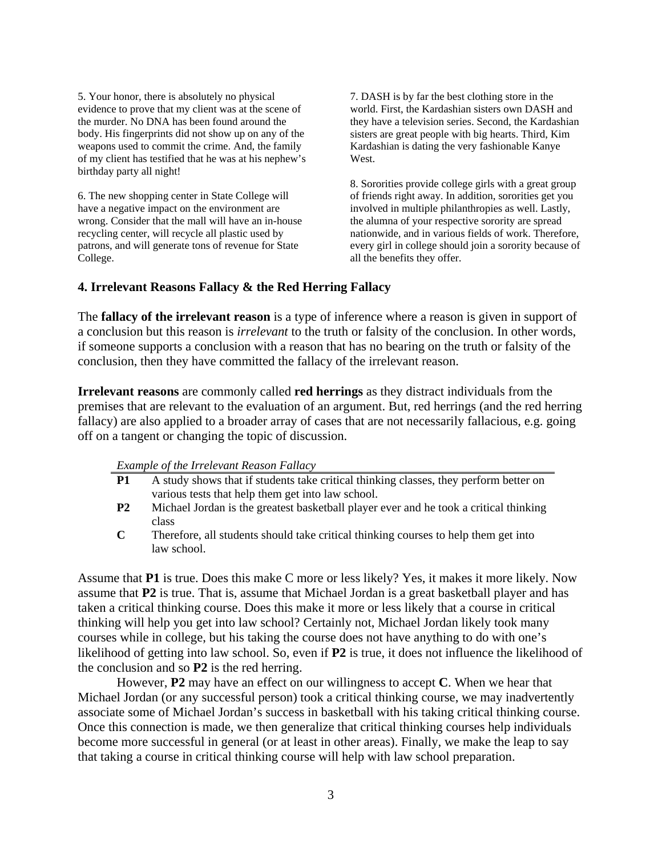5. Your honor, there is absolutely no physical evidence to prove that my client was at the scene of the murder. No DNA has been found around the body. His fingerprints did not show up on any of the weapons used to commit the crime. And, the family of my client has testified that he was at his nephew's birthday party all night!

6. The new shopping center in State College will have a negative impact on the environment are wrong. Consider that the mall will have an in-house recycling center, will recycle all plastic used by patrons, and will generate tons of revenue for State College.

7. DASH is by far the best clothing store in the world. First, the Kardashian sisters own DASH and they have a television series. Second, the Kardashian sisters are great people with big hearts. Third, Kim Kardashian is dating the very fashionable Kanye West.

8. Sororities provide college girls with a great group of friends right away. In addition, sororities get you involved in multiple philanthropies as well. Lastly, the alumna of your respective sorority are spread nationwide, and in various fields of work. Therefore, every girl in college should join a sorority because of all the benefits they offer.

### **4. Irrelevant Reasons Fallacy & the Red Herring Fallacy**

The **fallacy of the irrelevant reason** is a type of inference where a reason is given in support of a conclusion but this reason is *irrelevant* to the truth or falsity of the conclusion. In other words, if someone supports a conclusion with a reason that has no bearing on the truth or falsity of the conclusion, then they have committed the fallacy of the irrelevant reason.

**Irrelevant reasons** are commonly called **red herrings** as they distract individuals from the premises that are relevant to the evaluation of an argument. But, red herrings (and the red herring fallacy) are also applied to a broader array of cases that are not necessarily fallacious, e.g. going off on a tangent or changing the topic of discussion.

| Example of the Irrelevant Reason Fallacy |  |
|------------------------------------------|--|
|------------------------------------------|--|

- **P1** A study shows that if students take critical thinking classes, they perform better on various tests that help them get into law school.
- **P2** Michael Jordan is the greatest basketball player ever and he took a critical thinking class
- **C** Therefore, all students should take critical thinking courses to help them get into law school.

Assume that **P1** is true. Does this make C more or less likely? Yes, it makes it more likely. Now assume that **P2** is true. That is, assume that Michael Jordan is a great basketball player and has taken a critical thinking course. Does this make it more or less likely that a course in critical thinking will help you get into law school? Certainly not, Michael Jordan likely took many courses while in college, but his taking the course does not have anything to do with one's likelihood of getting into law school. So, even if **P2** is true, it does not influence the likelihood of the conclusion and so **P2** is the red herring.

However, **P2** may have an effect on our willingness to accept **C**. When we hear that Michael Jordan (or any successful person) took a critical thinking course, we may inadvertently associate some of Michael Jordan's success in basketball with his taking critical thinking course. Once this connection is made, we then generalize that critical thinking courses help individuals become more successful in general (or at least in other areas). Finally, we make the leap to say that taking a course in critical thinking course will help with law school preparation.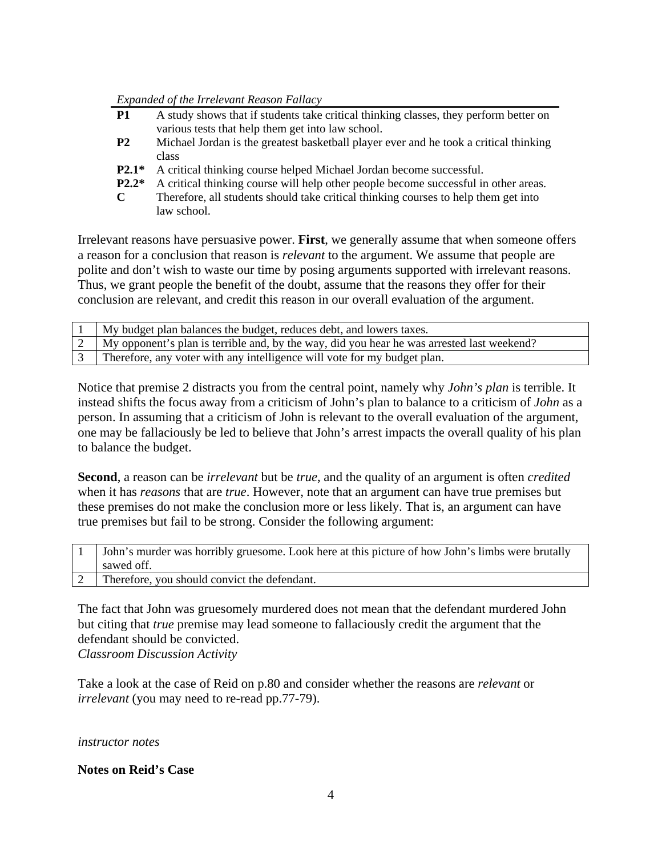### *Expanded of the Irrelevant Reason Fallacy*

| <b>P1</b> | A study shows that if students take critical thinking classes, they perform better on |
|-----------|---------------------------------------------------------------------------------------|
|           | various tests that help them get into law school.                                     |
| <b>P2</b> | Michael Jordan is the greatest basketball player ever and he took a critical thinking |
|           | class                                                                                 |
| $P2.1*$   | A critical thinking course helped Michael Jordan become successful.                   |
| $P2.2*$   | A critical thinking course will help other people become successful in other areas.   |
| C         | Therefore, all students should take critical thinking courses to help them get into   |
|           | law school.                                                                           |

Irrelevant reasons have persuasive power. **First**, we generally assume that when someone offers a reason for a conclusion that reason is *relevant* to the argument. We assume that people are polite and don't wish to waste our time by posing arguments supported with irrelevant reasons. Thus, we grant people the benefit of the doubt, assume that the reasons they offer for their conclusion are relevant, and credit this reason in our overall evaluation of the argument.

| My budget plan balances the budget, reduces debt, and lowers taxes.                        |
|--------------------------------------------------------------------------------------------|
| My opponent's plan is terrible and, by the way, did you hear he was arrested last weekend? |
| Therefore, any voter with any intelligence will vote for my budget plan.                   |

Notice that premise 2 distracts you from the central point, namely why *John's plan* is terrible. It instead shifts the focus away from a criticism of John's plan to balance to a criticism of *John* as a person. In assuming that a criticism of John is relevant to the overall evaluation of the argument, one may be fallaciously be led to believe that John's arrest impacts the overall quality of his plan to balance the budget.

**Second**, a reason can be *irrelevant* but be *true*, and the quality of an argument is often *credited* when it has *reasons* that are *true*. However, note that an argument can have true premises but these premises do not make the conclusion more or less likely. That is, an argument can have true premises but fail to be strong. Consider the following argument:

| John's murder was horribly gruesome. Look here at this picture of how John's limbs were brutally |
|--------------------------------------------------------------------------------------------------|
| sawed off.                                                                                       |
| [2   Therefore, you should convict the defendant.                                                |

The fact that John was gruesomely murdered does not mean that the defendant murdered John but citing that *true* premise may lead someone to fallaciously credit the argument that the defendant should be convicted. *Classroom Discussion Activity*

Take a look at the case of Reid on p.80 and consider whether the reasons are *relevant* or *irrelevant* (you may need to re-read pp.77-79).

## *instructor notes*

## **Notes on Reid's Case**